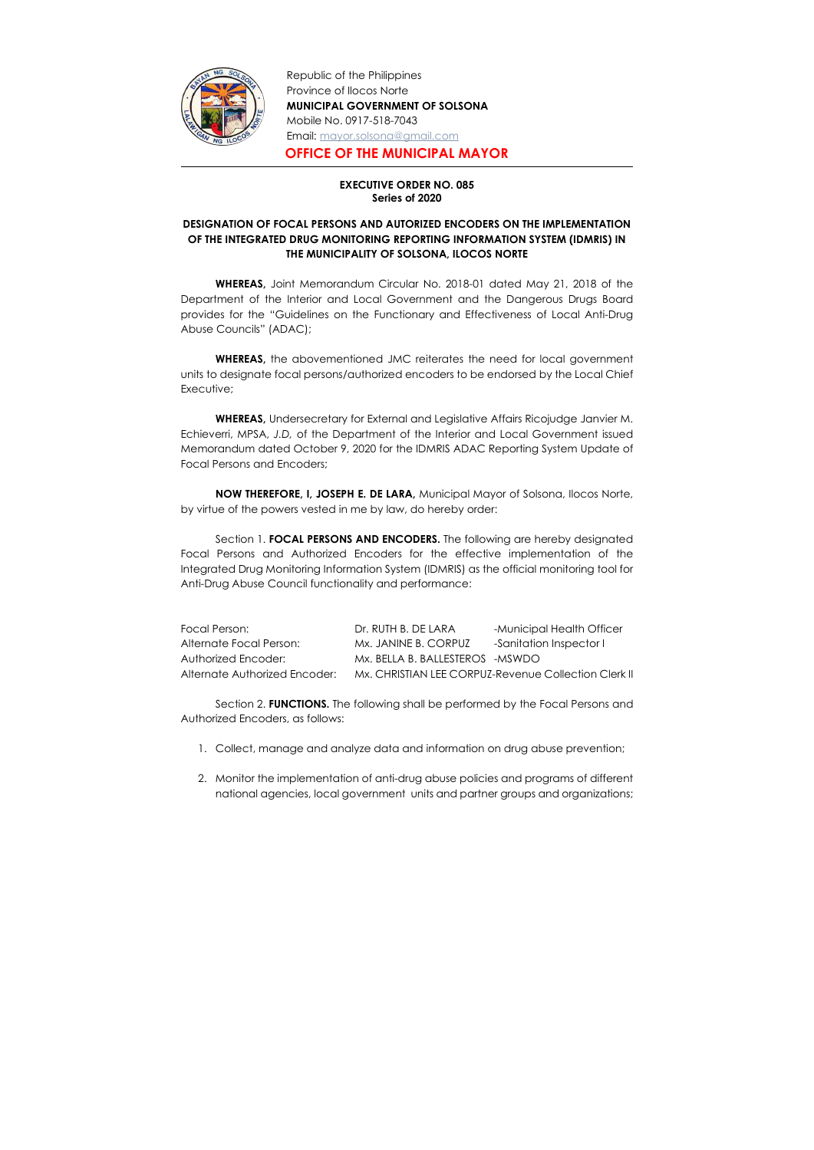

Republic of the Philippines Province of Ilocos Norte MUNICIPAL GOVERNMENT OF SOLSONA Mobile No. 0917-518-7043 Email: mayor.solsona@gmail.com

OFFICE OF THE MUNICIPAL MAYOR

## EXECUTIVE ORDER NO. 085 Series of 2020

## DESIGNATION OF FOCAL PERSONS AND AUTORIZED ENCODERS ON THE IMPLEMENTATION OF THE INTEGRATED DRUG MONITORING REPORTING INFORMATION SYSTEM (IDMRIS) IN THE MUNICIPALITY OF SOLSONA, ILOCOS NORTE

 WHEREAS, Joint Memorandum Circular No. 2018-01 dated May 21, 2018 of the Department of the Interior and Local Government and the Dangerous Drugs Board provides for the "Guidelines on the Functionary and Effectiveness of Local Anti-Drug Abuse Councils" (ADAC);

WHEREAS, the abovementioned JMC reiterates the need for local government units to designate focal persons/authorized encoders to be endorsed by the Local Chief Executive;

Section 1. FOCAL PERSONS AND ENCODERS. The following are hereby designated Focal Persons and Authorized Encoders for the effective implementation of the Integrated Drug Monitoring Information System (IDMRIS) as the official monitoring tool for Anti-Drug Abuse Council functionality and performance:

Section 2. **FUNCTIONS.** The following shall be performed by the Focal Persons and Authorized Encoders, as follows:

WHEREAS, Undersecretary for External and Legislative Affairs Ricojudge Janvier M. Echieverri, MPSA, J.D, of the Department of the Interior and Local Government issued Memorandum dated October 9, 2020 for the IDMRIS ADAC Reporting System Update of Focal Persons and Encoders;

 NOW THEREFORE, I, JOSEPH E. DE LARA, Municipal Mayor of Solsona, Ilocos Norte, by virtue of the powers vested in me by law, do hereby order:

| Focal Person:                 | Dr. RUTH B. DE LARA              | -Municipal Health Officer                            |
|-------------------------------|----------------------------------|------------------------------------------------------|
| Alternate Focal Person:       | Mx. JANINE B. CORPUZ             | -Sanitation Inspector I                              |
| Authorized Encoder:           | Mx. BELLA B. BALLESTEROS - MSWDO |                                                      |
| Alternate Authorized Encoder: |                                  | Mx. CHRISTIAN LEE CORPUZ-Revenue Collection Clerk II |

- 1. Collect, manage and analyze data and information on drug abuse prevention;
- 2. Monitor the implementation of anti-drug abuse policies and programs of different national agencies, local government units and partner groups and organizations;